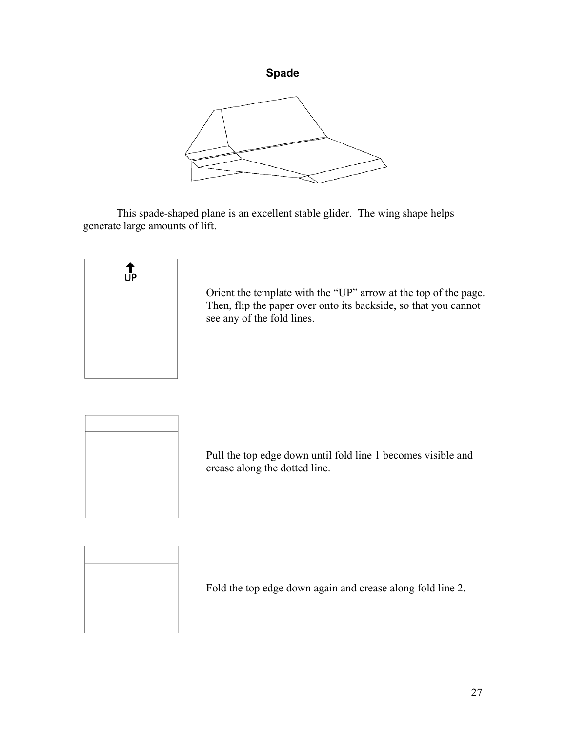

This spade-shaped plane is an excellent stable glider. The wing shape helps generate large amounts of lift.



Orient the template with the "UP" arrow at the top of the page. Then, flip the paper over onto its backside, so that you cannot see any of the fold lines.



Pull the top edge down until fold line 1 becomes visible and crease along the dotted line.



Fold the top edge down again and crease along fold line 2.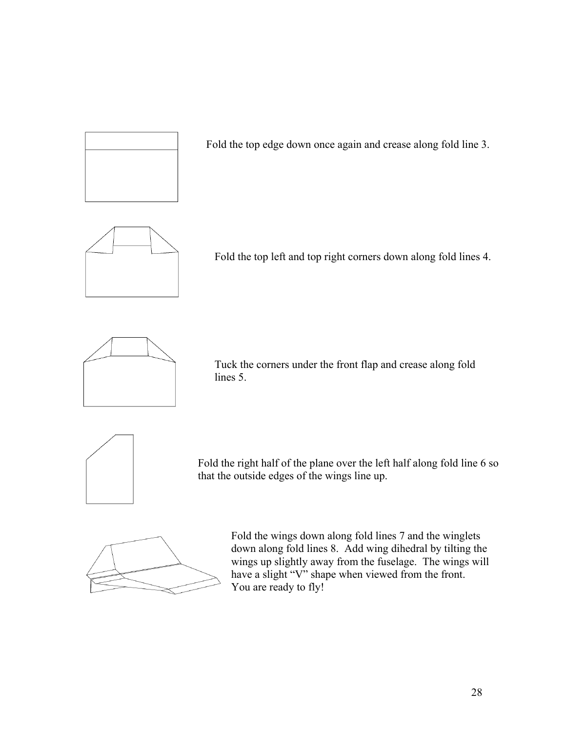

Fold the top edge down once again and crease along fold line 3.



Fold the top left and top right corners down along fold lines 4.



Tuck the corners under the front flap and crease along fold lines 5.



Fold the right half of the plane over the left half along fold line 6 so that the outside edges of the wings line up.



Fold the wings down along fold lines 7 and the winglets down along fold lines 8. Add wing dihedral by tilting the wings up slightly away from the fuselage. The wings will have a slight "V" shape when viewed from the front. You are ready to fly!